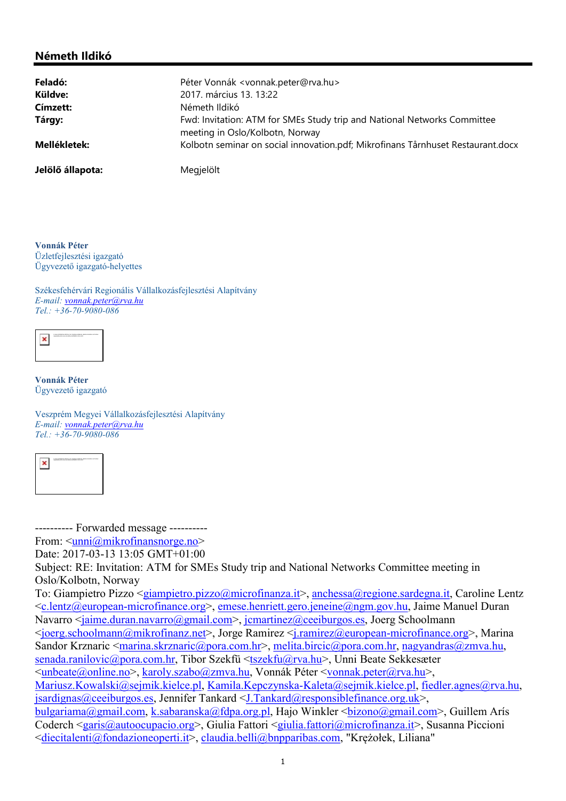## Németh Ildikó

| Feladó:          | Péter Vonnák <vonnak.peter@rva.hu></vonnak.peter@rva.hu>                                                    |
|------------------|-------------------------------------------------------------------------------------------------------------|
| Küldve:          | 2017. március 13. 13:22                                                                                     |
| Címzett:         | Németh Ildikó                                                                                               |
| Tárgy:           | Fwd: Invitation: ATM for SMEs Study trip and National Networks Committee<br>meeting in Oslo/Kolbotn, Norway |
| Mellékletek:     | Kolbotn seminar on social innovation.pdf; Mikrofinans Tårnhuset Restaurant.docx                             |
| Jelölő állapota: | Megjelölt                                                                                                   |

Vonnák Péter Üzletfejlesztési igazgató Ügyvezető igazgató-helyettes

Székesfehérvári Regionális Vállalkozásfejlesztési Alapítvány E-mail: vonnak.peter@rva.hu Tel.: +36-70-9080-086



Vonnák Péter Ügyvezető igazgató

Veszprém Megyei Vállalkozásfejlesztési Alapítvány E-mail: vonnak.peter@rva.hu Tel.: +36-70-9080-086



---------- Forwarded message ----------

From:  $\langle \text{unni}\rangle$ @mikrofinansnorge.no>

Date: 2017-03-13 13:05 GMT+01:00

Subject: RE: Invitation: ATM for SMEs Study trip and National Networks Committee meeting in Oslo/Kolbotn, Norway

To: Giampietro Pizzo <giampietro.pizzo@microfinanza.it>, anchessa@regione.sardegna.it, Caroline Lentz <c.lentz@european-microfinance.org>, emese.henriett.gero.jeneine@ngm.gov.hu, Jaime Manuel Duran Navarro <jaime.duran.navarro@gmail.com>, jcmartinez@ceeiburgos.es, Joerg Schoolmann <joerg.schoolmann@mikrofinanz.net>, Jorge Ramirez <j.ramirez@european-microfinance.org>, Marina Sandor Krznaric  $\langle$ marina.skrznaric@pora.com.hr>, melita.bircic@pora.com.hr, nagyandras@zmva.hu, senada.ranilovic@pora.com.hr, Tibor Szekfü <tszekfu@rva.hu>, Unni Beate Sekkesæter  $\overline{\langle}\text{unbeate}(a)\text{online}.\text{no}\rangle$ , karoly.szabo $(a)\text{zmv}$ a.hu, Vonnák Péter  $\langle\rangle$ vonnak.peter $(a)\text{rv}$ a.hu $\langle\rangle$ , Mariusz.Kowalski@sejmik.kielce.pl, Kamila.Kepczynska-Kaleta@sejmik.kielce.pl, fiedler.agnes@rva.hu, jsardignas@ceeiburgos.es, Jennifer Tankard <J.Tankard@responsiblefinance.org.uk>, bulgariama@gmail.com, k.sabaranska@fdpa.org.pl, Hajo Winkler <bizono@gmail.com>, Guillem Arís Coderch <garis@autoocupacio.org>, Giulia Fattori <giulia.fattori@microfinanza.it>, Susanna Piccioni

<diecitalenti@fondazioneoperti.it>, claudia.belli@bnpparibas.com, "Krężołek, Liliana"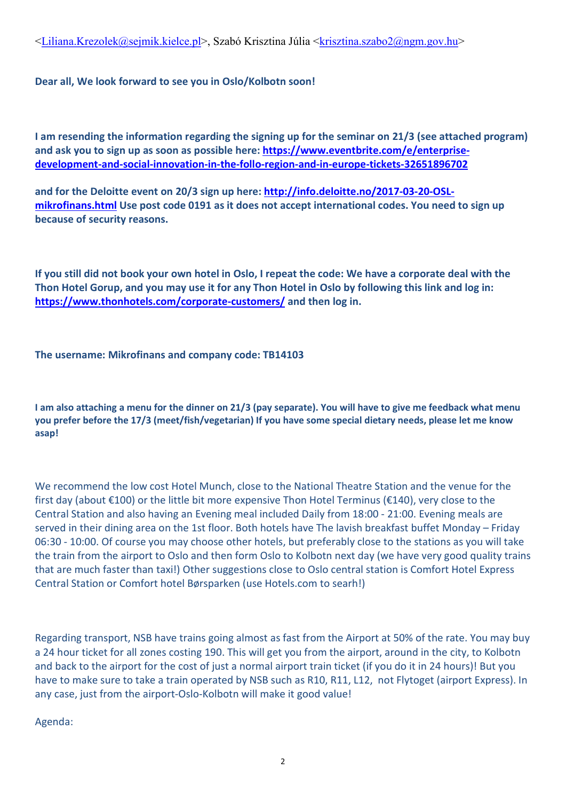$\leq$ Liliana.Krezolek@sejmik.kielce.pl>, Szabó Krisztina Júlia  $\leq$ krisztina.szabo2@ngm.gov.hu>

## Dear all, We look forward to see you in Oslo/Kolbotn soon!

I am resending the information regarding the signing up for the seminar on 21/3 (see attached program) and ask you to sign up as soon as possible here: https://www.eventbrite.com/e/enterprisedevelopment-and-social-innovation-in-the-follo-region-and-in-europe-tickets-32651896702

and for the Deloitte event on 20/3 sign up here: http://info.deloitte.no/2017-03-20-OSLmikrofinans.html Use post code 0191 as it does not accept international codes. You need to sign up because of security reasons.

If you still did not book your own hotel in Oslo, I repeat the code: We have a corporate deal with the Thon Hotel Gorup, and you may use it for any Thon Hotel in Oslo by following this link and log in: https://www.thonhotels.com/corporate-customers/ and then log in.

The username: Mikrofinans and company code: TB14103

I am also attaching a menu for the dinner on 21/3 (pay separate). You will have to give me feedback what menu you prefer before the 17/3 (meet/fish/vegetarian) If you have some special dietary needs, please let me know asap!

We recommend the low cost Hotel Munch, close to the National Theatre Station and the venue for the first day (about €100) or the little bit more expensive Thon Hotel Terminus (€140), very close to the Central Station and also having an Evening meal included Daily from 18:00 - 21:00. Evening meals are served in their dining area on the 1st floor. Both hotels have The lavish breakfast buffet Monday – Friday 06:30 - 10:00. Of course you may choose other hotels, but preferably close to the stations as you will take the train from the airport to Oslo and then form Oslo to Kolbotn next day (we have very good quality trains that are much faster than taxi!) Other suggestions close to Oslo central station is Comfort Hotel Express Central Station or Comfort hotel Børsparken (use Hotels.com to searh!)

Regarding transport, NSB have trains going almost as fast from the Airport at 50% of the rate. You may buy a 24 hour ticket for all zones costing 190. This will get you from the airport, around in the city, to Kolbotn and back to the airport for the cost of just a normal airport train ticket (if you do it in 24 hours)! But you have to make sure to take a train operated by NSB such as R10, R11, L12, not Flytoget (airport Express). In any case, just from the airport-Oslo-Kolbotn will make it good value!

Agenda: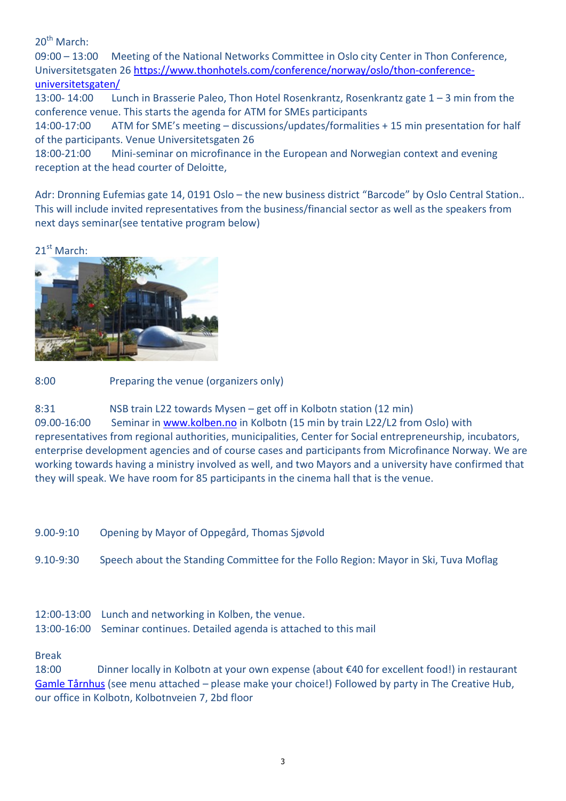$20^{th}$  March:

09:00 – 13:00 Meeting of the National Networks Committee in Oslo city Center in Thon Conference, Universitetsgaten 26 https://www.thonhotels.com/conference/norway/oslo/thon-conferenceuniversitetsgaten/

13:00- 14:00 Lunch in Brasserie Paleo, Thon Hotel Rosenkrantz, Rosenkrantz gate 1 – 3 min from the conference venue. This starts the agenda for ATM for SMEs participants

14:00-17:00 ATM for SME's meeting – discussions/updates/formalities + 15 min presentation for half of the participants. Venue Universitetsgaten 26

18:00-21:00 Mini-seminar on microfinance in the European and Norwegian context and evening reception at the head courter of Deloitte,

Adr: Dronning Eufemias gate 14, 0191 Oslo - the new business district "Barcode" by Oslo Central Station.. This will include invited representatives from the business/financial sector as well as the speakers from next days seminar(see tentative program below)

21<sup>st</sup> March:



8:00 Preparing the venue (organizers only)

8:31 NSB train L22 towards Mysen – get off in Kolbotn station (12 min) 09.00-16:00 Seminar in www.kolben.no in Kolbotn (15 min by train L22/L2 from Oslo) with representatives from regional authorities, municipalities, Center for Social entrepreneurship, incubators, enterprise development agencies and of course cases and participants from Microfinance Norway. We are working towards having a ministry involved as well, and two Mayors and a university have confirmed that they will speak. We have room for 85 participants in the cinema hall that is the venue.

9.00-9:10 Opening by Mayor of Oppegård, Thomas Sjøvold

9.10-9:30 Speech about the Standing Committee for the Follo Region: Mayor in Ski, Tuva Moflag

12:00-13:00 Lunch and networking in Kolben, the venue. 13:00-16:00 Seminar continues. Detailed agenda is attached to this mail

## Break

18:00 Dinner locally in Kolbotn at your own expense (about €40 for excellent food!) in restaurant Gamle Tårnhus (see menu attached – please make your choice!) Followed by party in The Creative Hub, our office in Kolbotn, Kolbotnveien 7, 2bd floor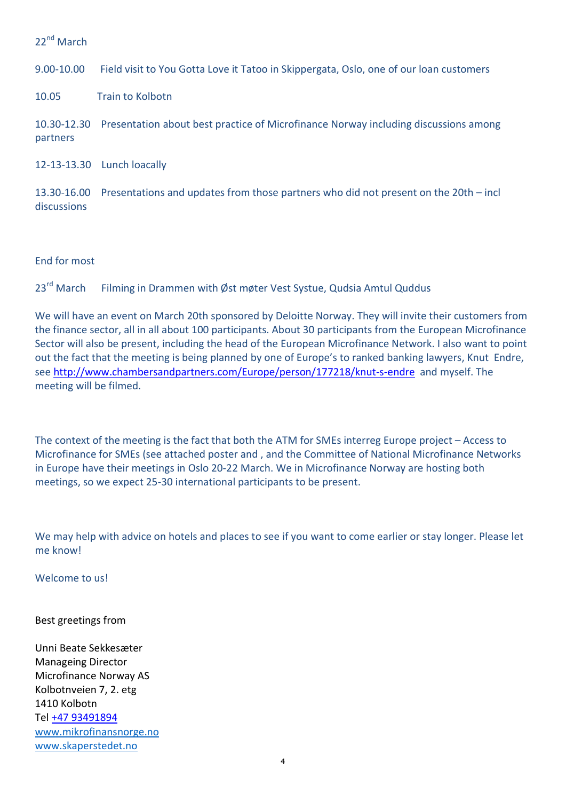22<sup>nd</sup> March

9.00-10.00 Field visit to You Gotta Love it Tatoo in Skippergata, Oslo, one of our loan customers

10.05 Train to Kolbotn

10.30-12.30 Presentation about best practice of Microfinance Norway including discussions among partners

12-13-13.30 Lunch loacally

13.30-16.00 Presentations and updates from those partners who did not present on the 20th – incl discussions

End for most

23<sup>rd</sup> March Filming in Drammen with Øst møter Vest Systue, Qudsia Amtul Quddus

We will have an event on March 20th sponsored by Deloitte Norway. They will invite their customers from the finance sector, all in all about 100 participants. About 30 participants from the European Microfinance Sector will also be present, including the head of the European Microfinance Network. I also want to point out the fact that the meeting is being planned by one of Europe's to ranked banking lawyers, Knut Endre, see http://www.chambersandpartners.com/Europe/person/177218/knut-s-endre and myself. The meeting will be filmed.

The context of the meeting is the fact that both the ATM for SMEs interreg Europe project – Access to Microfinance for SMEs (see attached poster and , and the Committee of National Microfinance Networks in Europe have their meetings in Oslo 20-22 March. We in Microfinance Norway are hosting both meetings, so we expect 25-30 international participants to be present.

We may help with advice on hotels and places to see if you want to come earlier or stay longer. Please let me know!

Welcome to us!

Best greetings from

Unni Beate Sekkesæter Manageing Director Microfinance Norway AS Kolbotnveien 7, 2. etg 1410 Kolbotn Tel +47 93491894 www.mikrofinansnorge.no www.skaperstedet.no